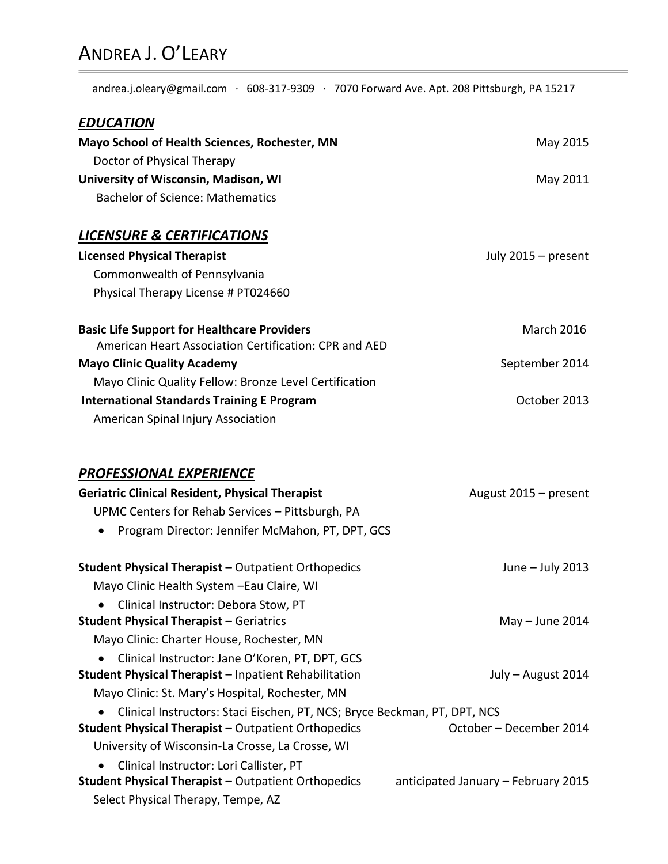# ANDREA J. O'LEARY

andrea.j.oleary@gmail.com ∙ 608-317-9309 ∙ 7070 Forward Ave. Apt. 208 Pittsburgh, PA 15217

| <b>EDUCATION</b>                                                          |                                     |
|---------------------------------------------------------------------------|-------------------------------------|
| Mayo School of Health Sciences, Rochester, MN                             | May 2015                            |
| Doctor of Physical Therapy                                                |                                     |
| University of Wisconsin, Madison, WI                                      | May 2011                            |
| <b>Bachelor of Science: Mathematics</b>                                   |                                     |
| <b>LICENSURE &amp; CERTIFICATIONS</b>                                     |                                     |
| <b>Licensed Physical Therapist</b>                                        | July 2015 - present                 |
| Commonwealth of Pennsylvania                                              |                                     |
| Physical Therapy License # PT024660                                       |                                     |
| <b>Basic Life Support for Healthcare Providers</b>                        | <b>March 2016</b>                   |
| American Heart Association Certification: CPR and AED                     |                                     |
| <b>Mayo Clinic Quality Academy</b>                                        | September 2014                      |
| Mayo Clinic Quality Fellow: Bronze Level Certification                    |                                     |
| <b>International Standards Training E Program</b>                         | October 2013                        |
| American Spinal Injury Association                                        |                                     |
| <b>PROFESSIONAL EXPERIENCE</b>                                            |                                     |
| <b>Geriatric Clinical Resident, Physical Therapist</b>                    | August 2015 - present               |
| UPMC Centers for Rehab Services - Pittsburgh, PA                          |                                     |
| Program Director: Jennifer McMahon, PT, DPT, GCS                          |                                     |
| <b>Student Physical Therapist - Outpatient Orthopedics</b>                | June - July 2013                    |
| Mayo Clinic Health System - Eau Claire, WI                                |                                     |
| • Clinical Instructor: Debora Stow, PT                                    |                                     |
| <b>Student Physical Therapist - Geriatrics</b>                            | $May - June 2014$                   |
| Mayo Clinic: Charter House, Rochester, MN                                 |                                     |
| Clinical Instructor: Jane O'Koren, PT, DPT, GCS                           |                                     |
| <b>Student Physical Therapist - Inpatient Rehabilitation</b>              | July - August 2014                  |
| Mayo Clinic: St. Mary's Hospital, Rochester, MN                           |                                     |
| Clinical Instructors: Staci Eischen, PT, NCS; Bryce Beckman, PT, DPT, NCS |                                     |
| <b>Student Physical Therapist - Outpatient Orthopedics</b>                | October - December 2014             |
| University of Wisconsin-La Crosse, La Crosse, WI                          |                                     |
| Clinical Instructor: Lori Callister, PT                                   |                                     |
| <b>Student Physical Therapist - Outpatient Orthopedics</b>                | anticipated January - February 2015 |
| Select Physical Therapy, Tempe, AZ                                        |                                     |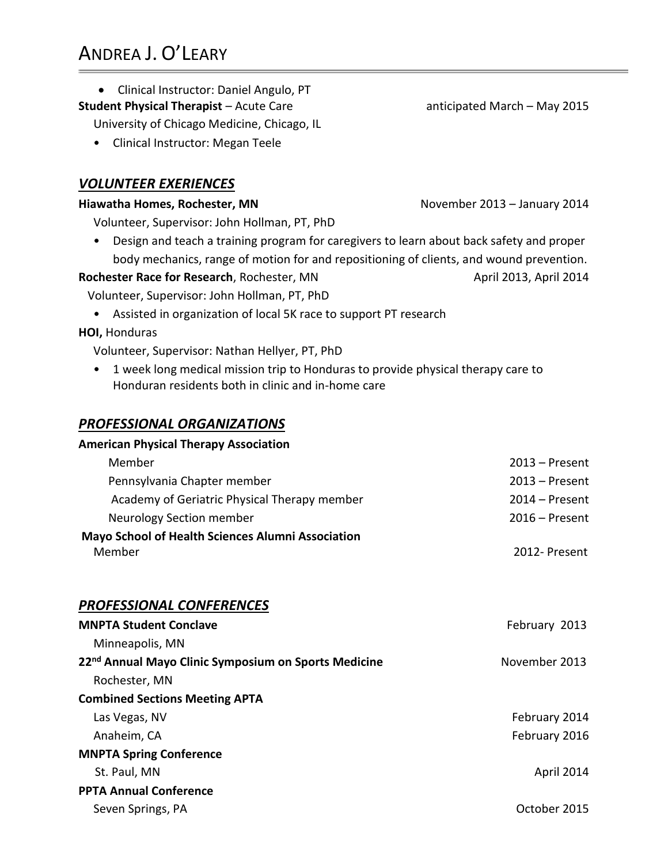Clinical Instructor: Daniel Angulo, PT

#### **Student Physical Therapist** – Acute Care anticipated March – May 2015

University of Chicago Medicine, Chicago, IL

• Clinical Instructor: Megan Teele

# *VOLUNTEER EXERIENCES*

#### **Hiawatha Homes, Rochester, MN** November 2013 – January 2014

Volunteer, Supervisor: John Hollman, PT, PhD

• Design and teach a training program for caregivers to learn about back safety and proper body mechanics, range of motion for and repositioning of clients, and wound prevention.

#### **Rochester Race for Research**, Rochester, MN April 2013, April 2014

Volunteer, Supervisor: John Hollman, PT, PhD

• Assisted in organization of local 5K race to support PT research

#### **HOI, Honduras March 2014 March 2014 March 2014 March 2014 March 2014 March 2014 March 2014**

Volunteer, Supervisor: Nathan Hellyer, PT, PhD

• 1 week long medical mission trip to Honduras to provide physical therapy care to Honduran residents both in clinic and in-home care

# *PROFESSIONAL ORGANIZATIONS*

# **American Physical Therapy Association** Member 2013 – Present Pennsylvania Chapter member 2013 – Present Academy of Geriatric Physical Therapy member 2014 – Present Neurology Section member 2016 – Present **Mayo School of Health Sciences Alumni Association** Member 2012- Present *PROFESSIONAL CONFERENCES* **MNPTA Student Conclave** February 2013 Minneapolis, MN **22nd Annual Mayo Clinic Symposium on Sports Medicine** November 2013Rochester, MN **Combined Sections Meeting APTA** Las Vegas, NV February 2014 Anaheim, CA February 2016 **MNPTA Spring Conference** St. Paul, MN April 2014 **PPTA Annual Conference** Seven Springs, PA **Seven Springs, PA October 2015**